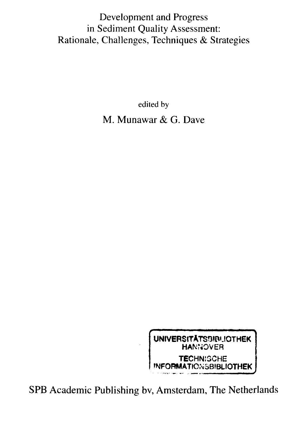## Development and Progress in Sediment Quality Assessment: Rationale, Challenges, Techniques & Strategies

edited by M. Munawar & G. Dave



SPB Academic Publishing bv, Amsterdam, The Netherlands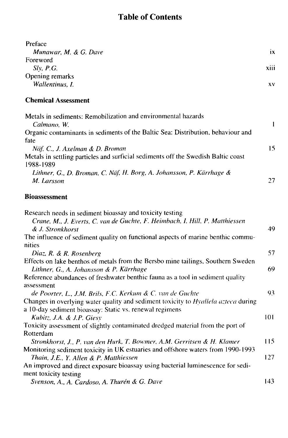## Table of Contents

| Preface                                                                                                                                                                                                                                          |      |
|--------------------------------------------------------------------------------------------------------------------------------------------------------------------------------------------------------------------------------------------------|------|
| Munawar, M. & G. Dave                                                                                                                                                                                                                            | ix   |
| Foreword                                                                                                                                                                                                                                         |      |
| Slv, P.G.                                                                                                                                                                                                                                        | xiii |
| Opening remarks                                                                                                                                                                                                                                  |      |
| Wallentinus, I.                                                                                                                                                                                                                                  | XV.  |
| <b>Chemical Assessment</b>                                                                                                                                                                                                                       |      |
| Metals in sediments: Remobilization and environmental hazards<br>Calmano. W.                                                                                                                                                                     | 1    |
| Organic contaminants in sediments of the Baltic Sea: Distribution, behaviour and<br>fate                                                                                                                                                         |      |
| Näf, C., J. Axelman & D. Broman<br>Metals in settling particles and surficial sediments off the Swedish Baltic coast                                                                                                                             | 15.  |
| 1988-1989<br>Lithner, G., D. Broman, C. Näf, H. Borg, A. Johansson, P. Kärrhage &<br>M. Larsson                                                                                                                                                  | 27   |
| <b>Bioassessment</b>                                                                                                                                                                                                                             |      |
| Research needs in sediment bioassay and toxicity testing<br>Crane, M., J. Everts, C. van de Guchte, F. Heimbach, I. Hill, P. Matthiessen<br>& J. Stronkhorst<br>The influence of sediment quality on functional aspects of marine benthic commu- | 49   |
| nities<br>Diaz, R. & R. Rosenberg                                                                                                                                                                                                                | 57   |
| Effects on lake benthos of metals from the Bersbo mine tailings, Southern Sweden<br>Lithner, G., A. Johansson & P. Kärrhage<br>Reference abundances of freshwater benthic fauna as a tool in sediment quality                                    | 69.  |
| assessment<br>de Poorter, L., J.M. Brils, F.C. Kerkum & C. van de Guchte                                                                                                                                                                         | 93   |
| Changes in overlying water quality and sediment toxicity to Hyallela azteca during<br>a 10-day sediment bioassay: Static vs. renewal regimens<br>Kubitz, J.A. & J.P. Giesv                                                                       | 101  |
| Toxicity assessment of slightly contaminated dredged material from the port of                                                                                                                                                                   |      |
| Rotterdam                                                                                                                                                                                                                                        |      |
| Stronkhorst, J., P. van den Hurk, T. Bowmer, A.M. Gerritsen & H. Klamer<br>Monitoring sediment toxicity in UK estuaries and offshore waters from 1990-1993                                                                                       | 115  |
| Thain, J.E., Y. Allen & P. Matthiessen<br>An improved and direct exposure bioassay using bacterial luminescence for sedi-                                                                                                                        | 127  |
| ment toxicity testing<br>Svenson, A., A. Cardoso, A. Thurén & G. Dave                                                                                                                                                                            | 143  |